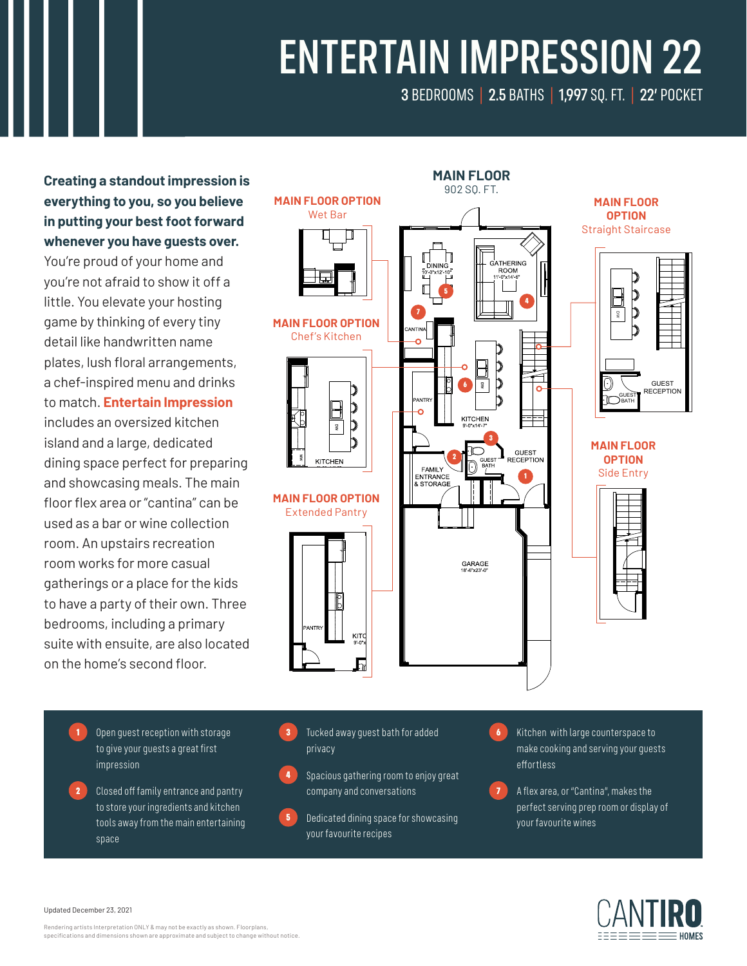# ENTERTAIN IMPRESSION 22

3 BEDROOMS | 2.5 BATHS | 1,997 SQ. FT. | 22' POCKET

### **Creating a standout impression is everything to you, so you believe in putting your best foot forward whenever you have guests over.**

You're proud of your home and you're not afraid to show it off a little. You elevate your hosting game by thinking of every tiny detail like handwritten name plates, lush floral arrangements, a chef-inspired menu and drinks to match. **Entertain Impression**  includes an oversized kitchen island and a large, dedicated dining space perfect for preparing and showcasing meals. The main floor flex area or "cantina" can be used as a bar or wine collection room. An upstairs recreation room works for more casual gatherings or a place for the kids to have a party of their own. Three bedrooms, including a primary suite with ensuite, are also located on the home's second floor.



- 1 Open guest reception with storage to give your guests a great first impression
- **2** Closed off family entrance and pantry to store your ingredients and kitchen tools away from the main entertaining space
- Tucked away quest bath for added privacy
- 4 Spacious gathering room to enjoy great company and conversations
- **5** Dedicated dining space for showcasing your favourite recipes
- 6 Kitchen with large counterspace to make cooking and serving your guests effortless
- **7** A flex area, or "Cantina", makes the perfect serving prep room or display of your favourite wines



Updated December 23, 2021